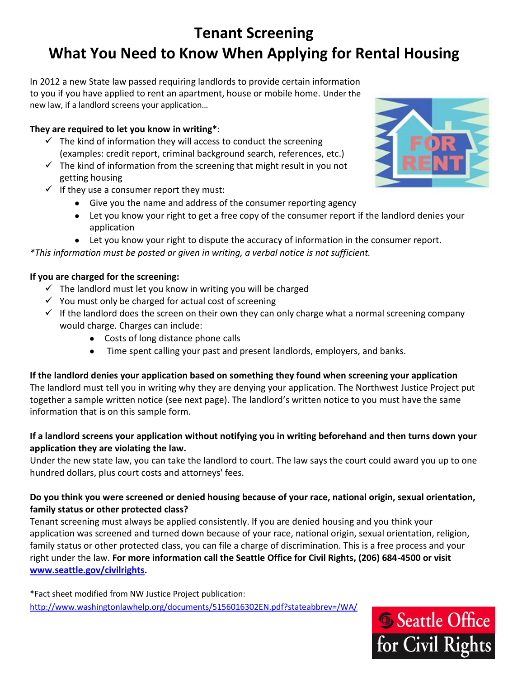# **Tenant Screening What You Need to Know When Applying for Rental Housing**

In 2012 a new State law passed requiring landlords to provide certain information to you if you have applied to rent an apartment, house or mobile home. Under the new law, if a landlord screens your application…

## **They are required to let you know in writing\***:

- $\checkmark$  The kind of information they will access to conduct the screening (examples: credit report, criminal background search, references, etc.)
- $\checkmark$  The kind of information from the screening that might result in you not getting housing
- $\checkmark$  If they use a consumer report they must:
	- Give you the name and address of the consumer reporting agency
	- Let you know your right to get a free copy of the consumer report if the landlord denies your application
	- Let you know your right to dispute the accuracy of information in the consumer report.

*\*This information must be posted or given in writing, a verbal notice is not sufficient.*

# **If you are charged for the screening:**

- $\checkmark$  The landlord must let you know in writing you will be charged
- $\checkmark$  You must only be charged for actual cost of screening
- $\checkmark$  If the landlord does the screen on their own they can only charge what a normal screening company would charge. Charges can include:
	- Costs of long distance phone calls
	- Time spent calling your past and present landlords, employers, and banks.

# **If the landlord denies your application based on something they found when screening your application**

The landlord must tell you in writing why they are denying your application. The Northwest Justice Project put together a sample written notice (see next page). The landlord's written notice to you must have the same information that is on this sample form.

### **If a landlord screens your application without notifying you in writing beforehand and then turns down your application they are violating the law.**

Under the new state law, you can take the landlord to court. The law says the court could award you up to one hundred dollars, plus court costs and attorneys' fees.

### **Do you think you were screened or denied housing because of your race, national origin, sexual orientation, family status or other protected class?**

Tenant screening must always be applied consistently. If you are denied housing and you think your application was screened and turned down because of your race, national origin, sexual orientation, religion, family status or other protected class, you can file a charge of discrimination. This is a free process and your right under the law. **For more information call the Seattle Office for Civil Rights, (206) 684-4500 or visit [www.seattle.gov/civilrights.](http://www.seattle.gov/civilrights)**

\*Fact sheet modified from NW Justice Project publication: <http://www.washingtonlawhelp.org/documents/5156016302EN.pdf?stateabbrev=/WA/>